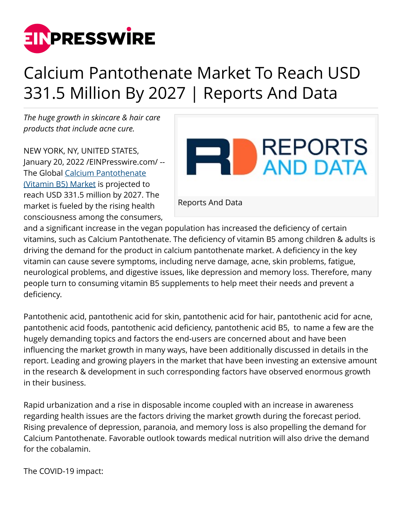

## Calcium Pantothenate Market To Reach USD 331.5 Million By 2027 | Reports And Data

*The huge growth in skincare & hair care products that include acne cure.*

NEW YORK, NY, UNITED STATES, January 20, 2022 /[EINPresswire.com](http://www.einpresswire.com)/ -- The Global [Calcium Pantothenate](https://www.reportsanddata.com/report-detail/calcium-pantothenate-market) [\(Vitamin B5\) Market](https://www.reportsanddata.com/report-detail/calcium-pantothenate-market) is projected to reach USD 331.5 million by 2027. The market is fueled by the rising health consciousness among the consumers,



and a significant increase in the vegan population has increased the deficiency of certain vitamins, such as Calcium Pantothenate. The deficiency of vitamin B5 among children & adults is driving the demand for the product in calcium pantothenate market. A deficiency in the key vitamin can cause severe symptoms, including nerve damage, acne, skin problems, fatigue, neurological problems, and digestive issues, like depression and memory loss. Therefore, many people turn to consuming vitamin B5 supplements to help meet their needs and prevent a deficiency.

Pantothenic acid, pantothenic acid for skin, pantothenic acid for hair, pantothenic acid for acne, pantothenic acid foods, pantothenic acid deficiency, pantothenic acid B5, to name a few are the hugely demanding topics and factors the end-users are concerned about and have been influencing the market growth in many ways, have been additionally discussed in details in the report. Leading and growing players in the market that have been investing an extensive amount in the research & development in such corresponding factors have observed enormous growth in their business.

Rapid urbanization and a rise in disposable income coupled with an increase in awareness regarding health issues are the factors driving the market growth during the forecast period. Rising prevalence of depression, paranoia, and memory loss is also propelling the demand for Calcium Pantothenate. Favorable outlook towards medical nutrition will also drive the demand for the cobalamin.

The COVID-19 impact: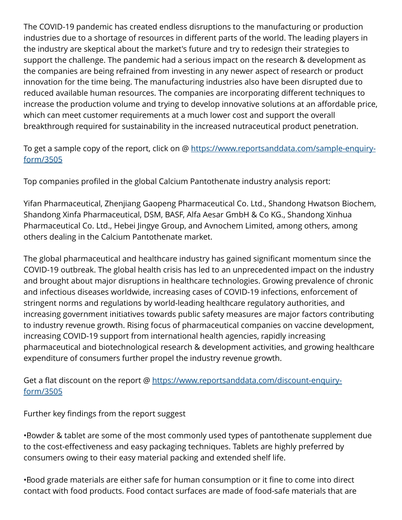The COVID-19 pandemic has created endless disruptions to the manufacturing or production industries due to a shortage of resources in different parts of the world. The leading players in the industry are skeptical about the market's future and try to redesign their strategies to support the challenge. The pandemic had a serious impact on the research & development as the companies are being refrained from investing in any newer aspect of research or product innovation for the time being. The manufacturing industries also have been disrupted due to reduced available human resources. The companies are incorporating different techniques to increase the production volume and trying to develop innovative solutions at an affordable price, which can meet customer requirements at a much lower cost and support the overall breakthrough required for sustainability in the increased nutraceutical product penetration.

## To get a sample copy of the report, click on @ [https://www.reportsanddata.com/sample-enquiry](https://www.reportsanddata.com/sample-enquiry-form/3505)[form/3505](https://www.reportsanddata.com/sample-enquiry-form/3505)

Top companies profiled in the global Calcium Pantothenate industry analysis report:

Yifan Pharmaceutical, Zhenjiang Gaopeng Pharmaceutical Co. Ltd., Shandong Hwatson Biochem, Shandong Xinfa Pharmaceutical, DSM, BASF, Alfa Aesar GmbH & Co KG., Shandong Xinhua Pharmaceutical Co. Ltd., Hebei Jingye Group, and Avnochem Limited, among others, among others dealing in the Calcium Pantothenate market.

The global pharmaceutical and healthcare industry has gained significant momentum since the COVID-19 outbreak. The global health crisis has led to an unprecedented impact on the industry and brought about major disruptions in healthcare technologies. Growing prevalence of chronic and infectious diseases worldwide, increasing cases of COVID-19 infections, enforcement of stringent norms and regulations by world-leading healthcare regulatory authorities, and increasing government initiatives towards public safety measures are major factors contributing to industry revenue growth. Rising focus of pharmaceutical companies on vaccine development, increasing COVID-19 support from international health agencies, rapidly increasing pharmaceutical and biotechnological research & development activities, and growing healthcare expenditure of consumers further propel the industry revenue growth.

Get a flat discount on the report @ [https://www.reportsanddata.com/discount-enquiry](https://www.reportsanddata.com/discount-enquiry-form/3505)[form/3505](https://www.reportsanddata.com/discount-enquiry-form/3505)

Further key findings from the report suggest

• Powder & tablet are some of the most commonly used types of pantothenate supplement due to the cost-effectiveness and easy packaging techniques. Tablets are highly preferred by consumers owing to their easy material packing and extended shelf life.

• Food grade materials are either safe for human consumption or it fine to come into direct contact with food products. Food contact surfaces are made of food-safe materials that are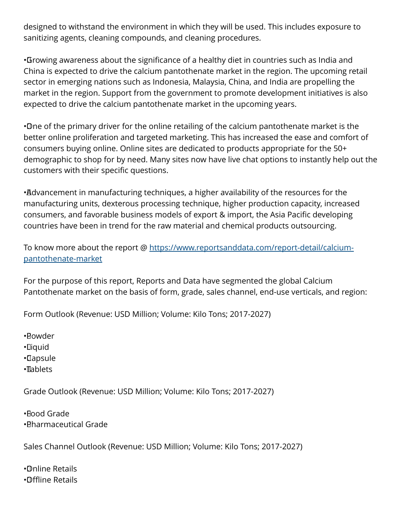designed to withstand the environment in which they will be used. This includes exposure to sanitizing agents, cleaning compounds, and cleaning procedures.

• Growing awareness about the significance of a healthy diet in countries such as India and China is expected to drive the calcium pantothenate market in the region. The upcoming retail sector in emerging nations such as Indonesia, Malaysia, China, and India are propelling the market in the region. Support from the government to promote development initiatives is also expected to drive the calcium pantothenate market in the upcoming years.

• One of the primary driver for the online retailing of the calcium pantothenate market is the better online proliferation and targeted marketing. This has increased the ease and comfort of consumers buying online. Online sites are dedicated to products appropriate for the 50+ demographic to shop for by need. Many sites now have live chat options to instantly help out the customers with their specific questions.

• Advancement in manufacturing techniques, a higher availability of the resources for the manufacturing units, dexterous processing technique, higher production capacity, increased consumers, and favorable business models of export & import, the Asia Pacific developing countries have been in trend for the raw material and chemical products outsourcing.

To know more about the report @ [https://www.reportsanddata.com/report-detail/calcium](https://www.reportsanddata.com/report-detail/calcium-pantothenate-market)[pantothenate-market](https://www.reportsanddata.com/report-detail/calcium-pantothenate-market)

For the purpose of this report, Reports and Data have segmented the global Calcium Pantothenate market on the basis of form, grade, sales channel, end-use verticals, and region:

Form Outlook (Revenue: USD Million; Volume: Kilo Tons; 2017-2027)

• Powder

• Liquid

• Capsule

• Tablets

Grade Outlook (Revenue: USD Million; Volume: Kilo Tons; 2017-2027)

• Food Grade • Pharmaceutical Grade

Sales Channel Outlook (Revenue: USD Million; Volume: Kilo Tons; 2017-2027)

• Online Retails • Offline Retails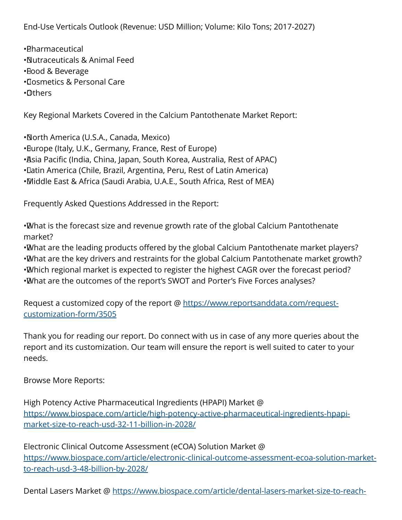End-Use Verticals Outlook (Revenue: USD Million; Volume: Kilo Tons; 2017-2027)

- • Pharmaceutical • Nutraceuticals & Animal Feed • Food & Beverage
- • Cosmetics & Personal Care

• Others

Key Regional Markets Covered in the Calcium Pantothenate Market Report:

• North America (U.S.A., Canada, Mexico) • Europe (Italy, U.K., Germany, France, Rest of Europe) • Asia Pacific (India, China, Japan, South Korea, Australia, Rest of APAC) • Latin America (Chile, Brazil, Argentina, Peru, Rest of Latin America) • Middle East & Africa (Saudi Arabia, U.A.E., South Africa, Rest of MEA)

Frequently Asked Questions Addressed in the Report:

• What is the forecast size and revenue growth rate of the global Calcium Pantothenate market?

• What are the leading products offered by the global Calcium Pantothenate market players?

• What are the key drivers and restraints for the global Calcium Pantothenate market growth?

• Which regional market is expected to register the highest CAGR over the forecast period?

• What are the outcomes of the report's SWOT and Porter's Five Forces analyses?

Request a customized copy of the report @ [https://www.reportsanddata.com/request](https://www.reportsanddata.com/request-customization-form/3505)[customization-form/3505](https://www.reportsanddata.com/request-customization-form/3505)

Thank you for reading our report. Do connect with us in case of any more queries about the report and its customization. Our team will ensure the report is well suited to cater to your needs.

Browse More Reports:

High Potency Active Pharmaceutical Ingredients (HPAPI) Market @ [https://www.biospace.com/article/high-potency-active-pharmaceutical-ingredients-hpapi](https://www.biospace.com/article/high-potency-active-pharmaceutical-ingredients-hpapi-market-size-to-reach-usd-32-11-billion-in-2028/)[market-size-to-reach-usd-32-11-billion-in-2028/](https://www.biospace.com/article/high-potency-active-pharmaceutical-ingredients-hpapi-market-size-to-reach-usd-32-11-billion-in-2028/)

Electronic Clinical Outcome Assessment (eCOA) Solution Market @ [https://www.biospace.com/article/electronic-clinical-outcome-assessment-ecoa-solution-market](https://www.biospace.com/article/electronic-clinical-outcome-assessment-ecoa-solution-market-to-reach-usd-3-48-billion-by-2028/)[to-reach-usd-3-48-billion-by-2028/](https://www.biospace.com/article/electronic-clinical-outcome-assessment-ecoa-solution-market-to-reach-usd-3-48-billion-by-2028/)

Dental Lasers Market @ [https://www.biospace.com/article/dental-lasers-market-size-to-reach-](https://www.biospace.com/article/dental-lasers-market-size-to-reach-usd-345-1-million-in-2028-noted-reports-and-data/)